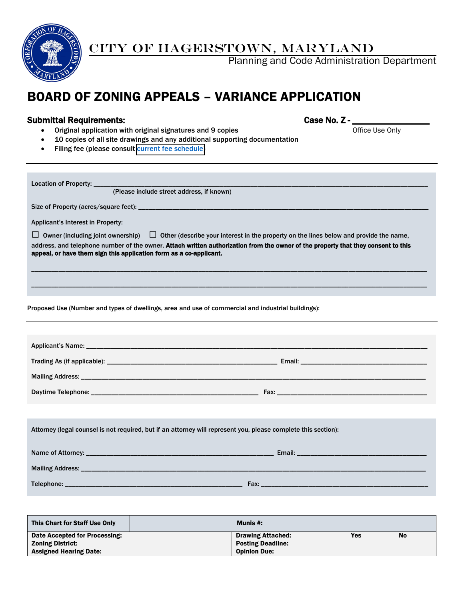

# CITY OF HAGERSTOWN, MARYLAND

Planning and Code Administration Department

# BOARD OF ZONING APPEALS – VARIANCE APPLICATION

# Submittal Requirements: Case No. Z - \_\_\_\_\_\_\_\_\_\_\_\_\_\_\_\_\_

• Original application with original signatures and 9 copies **Office Use Only** Office Use Only

- 10 copies of all site drawings and any additional supporting documentation
- Filing fee (please consult [current fee schedule\)](http://www.hagerstownmd.org/DocumentCenter/Home/View/384)

| Location of Property: ____<br>(Please include street address, if known)                                                                                                                                                                                                                                                                    |  |  |  |  |  |
|--------------------------------------------------------------------------------------------------------------------------------------------------------------------------------------------------------------------------------------------------------------------------------------------------------------------------------------------|--|--|--|--|--|
|                                                                                                                                                                                                                                                                                                                                            |  |  |  |  |  |
| Applicant's Interest in Property:                                                                                                                                                                                                                                                                                                          |  |  |  |  |  |
| Owner (including joint ownership) $\Box$ Other (describe your interest in the property on the lines below and provide the name,<br>address, and telephone number of the owner. Attach written authorization from the owner of the property that they consent to this<br>appeal, or have them sign this application form as a co-applicant. |  |  |  |  |  |
|                                                                                                                                                                                                                                                                                                                                            |  |  |  |  |  |
| Proposed Use (Number and types of dwellings, area and use of commercial and industrial buildings):                                                                                                                                                                                                                                         |  |  |  |  |  |
|                                                                                                                                                                                                                                                                                                                                            |  |  |  |  |  |
|                                                                                                                                                                                                                                                                                                                                            |  |  |  |  |  |
|                                                                                                                                                                                                                                                                                                                                            |  |  |  |  |  |
|                                                                                                                                                                                                                                                                                                                                            |  |  |  |  |  |
|                                                                                                                                                                                                                                                                                                                                            |  |  |  |  |  |
|                                                                                                                                                                                                                                                                                                                                            |  |  |  |  |  |
| Attorney (legal counsel is not required, but if an attorney will represent you, please complete this section):                                                                                                                                                                                                                             |  |  |  |  |  |
|                                                                                                                                                                                                                                                                                                                                            |  |  |  |  |  |
|                                                                                                                                                                                                                                                                                                                                            |  |  |  |  |  |
|                                                                                                                                                                                                                                                                                                                                            |  |  |  |  |  |

| This Chart for Staff Use Only | Munis #:                 |     |           |
|-------------------------------|--------------------------|-----|-----------|
| Date Accepted for Processing: | <b>Drawing Attached:</b> | Yes | <b>No</b> |
| <b>Zoning District:</b>       | <b>Posting Deadline:</b> |     |           |
| <b>Assigned Hearing Date:</b> | <b>Opinion Due:</b>      |     |           |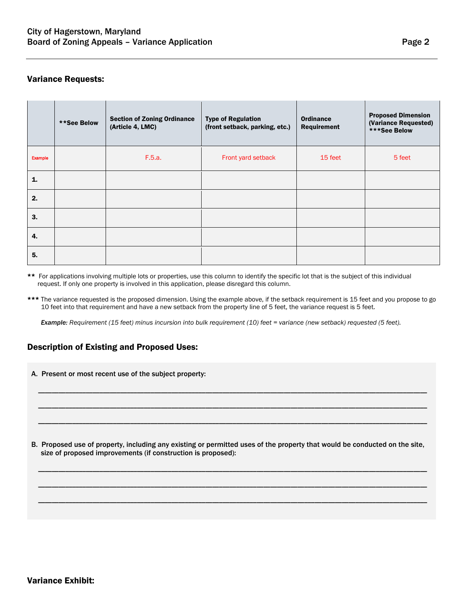## Variance Requests:

|         | **See Below | <b>Section of Zoning Ordinance</b><br>(Article 4, LMC) | <b>Type of Regulation</b><br>(front setback, parking, etc.) | <b>Ordinance</b><br>Requirement | <b>Proposed Dimension</b><br>(Variance Requested)<br>***See Below |
|---------|-------------|--------------------------------------------------------|-------------------------------------------------------------|---------------------------------|-------------------------------------------------------------------|
| Example |             | F.5.a.                                                 | Front yard setback                                          | 15 feet                         | 5 feet                                                            |
| 1.      |             |                                                        |                                                             |                                 |                                                                   |
| 2.      |             |                                                        |                                                             |                                 |                                                                   |
| 3.      |             |                                                        |                                                             |                                 |                                                                   |
| 4.      |             |                                                        |                                                             |                                 |                                                                   |
| 5.      |             |                                                        |                                                             |                                 |                                                                   |

- \*\* For applications involving multiple lots or properties, use this column to identify the specific lot that is the subject of this individual request. If only one property is involved in this application, please disregard this column.
- \*\*\* The variance requested is the proposed dimension. Using the example above, if the setback requirement is 15 feet and you propose to go 10 feet into that requirement and have a new setback from the property line of 5 feet, the variance request is 5 feet.

*Example: Requirement (15 feet) minus incursion into bulk requirement (10) feet = variance (new setback) requested (5 feet).*

# Description of Existing and Proposed Uses:

A. Present or most recent use of the subject property:

B. Proposed use of property, including any existing or permitted uses of the property that would be conducted on the site, size of proposed improvements (if construction is proposed):

\_\_\_\_\_\_\_\_\_\_\_\_\_\_\_\_\_\_\_\_\_\_\_\_\_\_\_\_\_\_\_\_\_\_\_\_\_\_\_\_\_\_\_\_\_\_\_\_\_\_\_\_\_\_\_\_\_\_\_\_\_\_\_\_\_\_\_\_\_\_\_\_\_\_\_\_\_\_\_\_\_\_\_\_\_\_\_\_\_\_\_\_\_\_\_\_\_\_\_\_\_\_\_\_\_\_\_\_\_\_\_\_\_\_

\_\_\_\_\_\_\_\_\_\_\_\_\_\_\_\_\_\_\_\_\_\_\_\_\_\_\_\_\_\_\_\_\_\_\_\_\_\_\_\_\_\_\_\_\_\_\_\_\_\_\_\_\_\_\_\_\_\_\_\_\_\_\_\_\_\_\_\_\_\_\_\_\_\_\_\_\_\_\_\_\_\_\_\_\_\_\_\_\_\_\_\_\_\_\_\_\_\_\_\_\_\_\_\_\_\_\_\_\_\_\_\_\_\_

\_\_\_\_\_\_\_\_\_\_\_\_\_\_\_\_\_\_\_\_\_\_\_\_\_\_\_\_\_\_\_\_\_\_\_\_\_\_\_\_\_\_\_\_\_\_\_\_\_\_\_\_\_\_\_\_\_\_\_\_\_\_\_\_\_\_\_\_\_\_\_\_\_\_\_\_\_\_\_\_\_\_\_\_\_\_\_\_\_\_\_\_\_\_\_\_\_\_\_\_\_\_\_\_\_\_\_\_\_\_\_\_\_\_

\_\_\_\_\_\_\_\_\_\_\_\_\_\_\_\_\_\_\_\_\_\_\_\_\_\_\_\_\_\_\_\_\_\_\_\_\_\_\_\_\_\_\_\_\_\_\_\_\_\_\_\_\_\_\_\_\_\_\_\_\_\_\_\_\_\_\_\_\_\_\_\_\_\_\_\_\_\_\_\_\_\_\_\_\_\_\_\_\_\_\_\_\_\_\_\_\_\_\_\_\_\_\_\_\_\_\_\_\_\_\_\_\_\_

\_\_\_\_\_\_\_\_\_\_\_\_\_\_\_\_\_\_\_\_\_\_\_\_\_\_\_\_\_\_\_\_\_\_\_\_\_\_\_\_\_\_\_\_\_\_\_\_\_\_\_\_\_\_\_\_\_\_\_\_\_\_\_\_\_\_\_\_\_\_\_\_\_\_\_\_\_\_\_\_\_\_\_\_\_\_\_\_\_\_\_\_\_\_\_\_\_\_\_\_\_\_\_\_\_\_\_\_\_\_\_\_\_\_

\_\_\_\_\_\_\_\_\_\_\_\_\_\_\_\_\_\_\_\_\_\_\_\_\_\_\_\_\_\_\_\_\_\_\_\_\_\_\_\_\_\_\_\_\_\_\_\_\_\_\_\_\_\_\_\_\_\_\_\_\_\_\_\_\_\_\_\_\_\_\_\_\_\_\_\_\_\_\_\_\_\_\_\_\_\_\_\_\_\_\_\_\_\_\_\_\_\_\_\_\_\_\_\_\_\_\_\_\_\_\_\_\_\_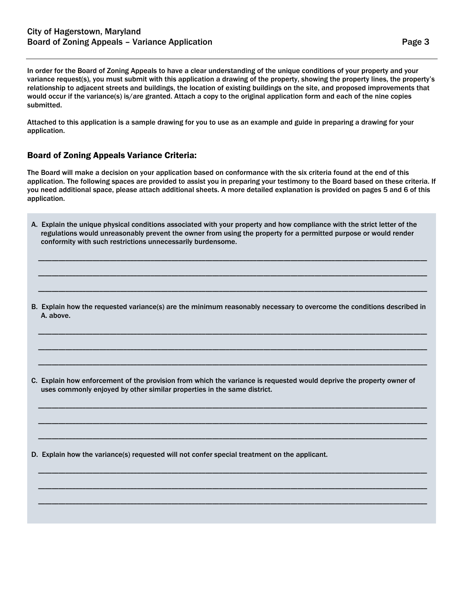In order for the Board of Zoning Appeals to have a clear understanding of the unique conditions of your property and your variance request(s), you must submit with this application a drawing of the property, showing the property lines, the property's relationship to adjacent streets and buildings, the location of existing buildings on the site, and proposed improvements that would occur if the variance(s) is/are granted. Attach a copy to the original application form and each of the nine copies submitted.

Attached to this application is a sample drawing for you to use as an example and guide in preparing a drawing for your application.

## Board of Zoning Appeals Variance Criteria:

The Board will make a decision on your application based on conformance with the six criteria found at the end of this application. The following spaces are provided to assist you in preparing your testimony to the Board based on these criteria. If you need additional space, please attach additional sheets. A more detailed explanation is provided on pages 5 and 6 of this application.

A. Explain the unique physical conditions associated with your property and how compliance with the strict letter of the regulations would unreasonably prevent the owner from using the property for a permitted purpose or would render conformity with such restrictions unnecessarily burdensome.

\_\_\_\_\_\_\_\_\_\_\_\_\_\_\_\_\_\_\_\_\_\_\_\_\_\_\_\_\_\_\_\_\_\_\_\_\_\_\_\_\_\_\_\_\_\_\_\_\_\_\_\_\_\_\_\_\_\_\_\_\_\_\_\_\_\_\_\_\_\_\_\_\_\_\_\_\_\_\_\_\_\_\_\_\_\_\_\_\_\_\_\_\_\_\_\_\_\_\_\_\_\_\_\_\_\_\_\_\_\_\_\_\_\_

\_\_\_\_\_\_\_\_\_\_\_\_\_\_\_\_\_\_\_\_\_\_\_\_\_\_\_\_\_\_\_\_\_\_\_\_\_\_\_\_\_\_\_\_\_\_\_\_\_\_\_\_\_\_\_\_\_\_\_\_\_\_\_\_\_\_\_\_\_\_\_\_\_\_\_\_\_\_\_\_\_\_\_\_\_\_\_\_\_\_\_\_\_\_\_\_\_\_\_\_\_\_\_\_\_\_\_\_\_\_\_\_\_\_

\_\_\_\_\_\_\_\_\_\_\_\_\_\_\_\_\_\_\_\_\_\_\_\_\_\_\_\_\_\_\_\_\_\_\_\_\_\_\_\_\_\_\_\_\_\_\_\_\_\_\_\_\_\_\_\_\_\_\_\_\_\_\_\_\_\_\_\_\_\_\_\_\_\_\_\_\_\_\_\_\_\_\_\_\_\_\_\_\_\_\_\_\_\_\_\_\_\_\_\_\_\_\_\_\_\_\_\_\_\_\_\_\_\_

B. Explain how the requested variance(s) are the minimum reasonably necessary to overcome the conditions described in A. above.

\_\_\_\_\_\_\_\_\_\_\_\_\_\_\_\_\_\_\_\_\_\_\_\_\_\_\_\_\_\_\_\_\_\_\_\_\_\_\_\_\_\_\_\_\_\_\_\_\_\_\_\_\_\_\_\_\_\_\_\_\_\_\_\_\_\_\_\_\_\_\_\_\_\_\_\_\_\_\_\_\_\_\_\_\_\_\_\_\_\_\_\_\_\_\_\_\_\_\_\_\_\_\_\_\_\_\_\_\_\_\_\_\_\_

\_\_\_\_\_\_\_\_\_\_\_\_\_\_\_\_\_\_\_\_\_\_\_\_\_\_\_\_\_\_\_\_\_\_\_\_\_\_\_\_\_\_\_\_\_\_\_\_\_\_\_\_\_\_\_\_\_\_\_\_\_\_\_\_\_\_\_\_\_\_\_\_\_\_\_\_\_\_\_\_\_\_\_\_\_\_\_\_\_\_\_\_\_\_\_\_\_\_\_\_\_\_\_\_\_\_\_\_\_\_\_\_\_\_

\_\_\_\_\_\_\_\_\_\_\_\_\_\_\_\_\_\_\_\_\_\_\_\_\_\_\_\_\_\_\_\_\_\_\_\_\_\_\_\_\_\_\_\_\_\_\_\_\_\_\_\_\_\_\_\_\_\_\_\_\_\_\_\_\_\_\_\_\_\_\_\_\_\_\_\_\_\_\_\_\_\_\_\_\_\_\_\_\_\_\_\_\_\_\_\_\_\_\_\_\_\_\_\_\_\_\_\_\_\_\_\_\_\_

\_\_\_\_\_\_\_\_\_\_\_\_\_\_\_\_\_\_\_\_\_\_\_\_\_\_\_\_\_\_\_\_\_\_\_\_\_\_\_\_\_\_\_\_\_\_\_\_\_\_\_\_\_\_\_\_\_\_\_\_\_\_\_\_\_\_\_\_\_\_\_\_\_\_\_\_\_\_\_\_\_\_\_\_\_\_\_\_\_\_\_\_\_\_\_\_\_\_\_\_\_\_\_\_\_\_\_\_\_\_\_\_\_\_

\_\_\_\_\_\_\_\_\_\_\_\_\_\_\_\_\_\_\_\_\_\_\_\_\_\_\_\_\_\_\_\_\_\_\_\_\_\_\_\_\_\_\_\_\_\_\_\_\_\_\_\_\_\_\_\_\_\_\_\_\_\_\_\_\_\_\_\_\_\_\_\_\_\_\_\_\_\_\_\_\_\_\_\_\_\_\_\_\_\_\_\_\_\_\_\_\_\_\_\_\_\_\_\_\_\_\_\_\_\_\_\_\_\_

\_\_\_\_\_\_\_\_\_\_\_\_\_\_\_\_\_\_\_\_\_\_\_\_\_\_\_\_\_\_\_\_\_\_\_\_\_\_\_\_\_\_\_\_\_\_\_\_\_\_\_\_\_\_\_\_\_\_\_\_\_\_\_\_\_\_\_\_\_\_\_\_\_\_\_\_\_\_\_\_\_\_\_\_\_\_\_\_\_\_\_\_\_\_\_\_\_\_\_\_\_\_\_\_\_\_\_\_\_\_\_\_\_\_

\_\_\_\_\_\_\_\_\_\_\_\_\_\_\_\_\_\_\_\_\_\_\_\_\_\_\_\_\_\_\_\_\_\_\_\_\_\_\_\_\_\_\_\_\_\_\_\_\_\_\_\_\_\_\_\_\_\_\_\_\_\_\_\_\_\_\_\_\_\_\_\_\_\_\_\_\_\_\_\_\_\_\_\_\_\_\_\_\_\_\_\_\_\_\_\_\_\_\_\_\_\_\_\_\_\_\_\_\_\_\_\_\_\_

\_\_\_\_\_\_\_\_\_\_\_\_\_\_\_\_\_\_\_\_\_\_\_\_\_\_\_\_\_\_\_\_\_\_\_\_\_\_\_\_\_\_\_\_\_\_\_\_\_\_\_\_\_\_\_\_\_\_\_\_\_\_\_\_\_\_\_\_\_\_\_\_\_\_\_\_\_\_\_\_\_\_\_\_\_\_\_\_\_\_\_\_\_\_\_\_\_\_\_\_\_\_\_\_\_\_\_\_\_\_\_\_\_\_

\_\_\_\_\_\_\_\_\_\_\_\_\_\_\_\_\_\_\_\_\_\_\_\_\_\_\_\_\_\_\_\_\_\_\_\_\_\_\_\_\_\_\_\_\_\_\_\_\_\_\_\_\_\_\_\_\_\_\_\_\_\_\_\_\_\_\_\_\_\_\_\_\_\_\_\_\_\_\_\_\_\_\_\_\_\_\_\_\_\_\_\_\_\_\_\_\_\_\_\_\_\_\_\_\_\_\_\_\_\_\_\_\_\_

C. Explain how enforcement of the provision from which the variance is requested would deprive the property owner of uses commonly enjoyed by other similar properties in the same district.

D. Explain how the variance(s) requested will not confer special treatment on the applicant.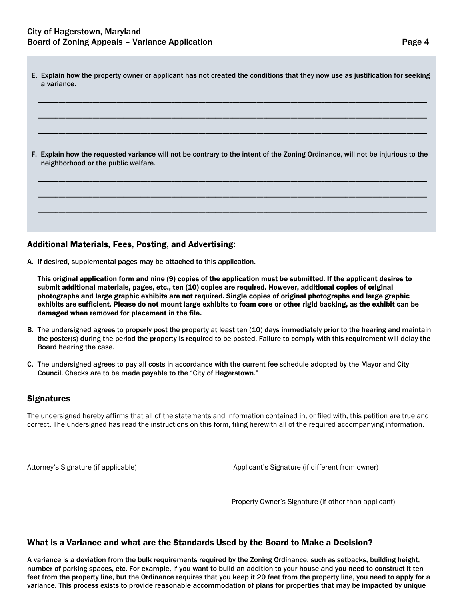| E. Explain how the property owner or applicant has not created the conditions that they now use as justification for seeking<br>a variance.                           |
|-----------------------------------------------------------------------------------------------------------------------------------------------------------------------|
| F. Explain how the requested variance will not be contrary to the intent of the Zoning Ordinance, will not be injurious to the<br>neighborhood or the public welfare. |
|                                                                                                                                                                       |

## Additional Materials, Fees, Posting, and Advertising:

A. If desired, supplemental pages may be attached to this application.

This **original** application form and nine (9) copies of the application must be submitted. If the applicant desires to submit additional materials, pages, etc., ten (10) copies are required. However, additional copies of original photographs and large graphic exhibits are not required. Single copies of original photographs and large graphic exhibits are sufficient. Please do not mount large exhibits to foam core or other rigid backing, as the exhibit can be damaged when removed for placement in the file.

- B. The undersigned agrees to properly post the property at least ten (10) days immediately prior to the hearing and maintain the poster(s) during the period the property is required to be posted. Failure to comply with this requirement will delay the Board hearing the case.
- C. The undersigned agrees to pay all costs in accordance with the current fee schedule adopted by the Mayor and City Council. Checks are to be made payable to the "City of Hagerstown."

## **Signatures**

The undersigned hereby affirms that all of the statements and information contained in, or filed with, this petition are true and correct. The undersigned has read the instructions on this form, filing herewith all of the required accompanying information.

\_\_\_\_\_\_\_\_\_\_\_\_\_\_\_\_\_\_\_\_\_\_\_\_\_\_\_\_\_\_\_\_\_\_\_\_\_\_\_\_\_\_\_\_\_\_\_\_\_\_\_ \_\_\_\_\_\_\_\_\_\_\_\_\_\_\_\_\_\_\_\_\_\_\_\_\_\_\_\_\_\_\_\_\_\_\_\_\_\_\_\_\_\_\_\_\_\_\_\_\_\_\_\_ Attorney's Signature (if applicable) Applicant's Signature (if different from owner)

Property Owner's Signature (if other than applicant)

\_\_\_\_\_\_\_\_\_\_\_\_\_\_\_\_\_\_\_\_\_\_\_\_\_\_\_\_\_\_\_\_\_\_\_\_\_\_\_\_\_\_\_\_\_\_\_\_\_\_\_\_\_

## What is a Variance and what are the Standards Used by the Board to Make a Decision?

A variance is a deviation from the bulk requirements required by the Zoning Ordinance, such as setbacks, building height, number of parking spaces, etc. For example, if you want to build an addition to your house and you need to construct it ten feet from the property line, but the Ordinance requires that you keep it 20 feet from the property line, you need to apply for a variance. This process exists to provide reasonable accommodation of plans for properties that may be impacted by unique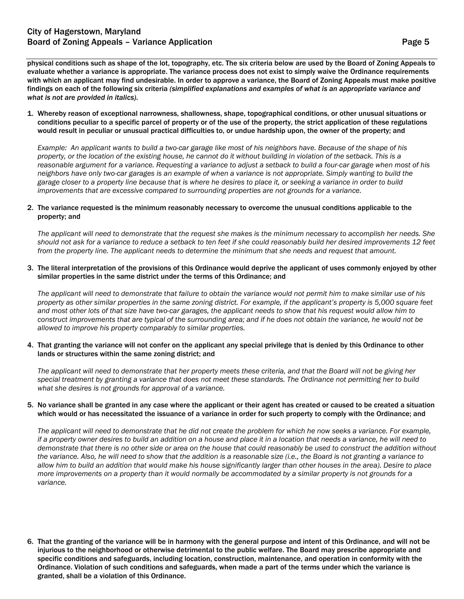physical conditions such as shape of the lot, topography, etc. The six criteria below are used by the Board of Zoning Appeals to evaluate whether a variance is appropriate. The variance process does not exist to simply waive the Ordinance requirements with which an applicant may find undesirable. In order to approve a variance, the Board of Zoning Appeals must make positive findings on each of the following six criteria *(simplified explanations and examples of what is an appropriate variance and what is not are provided in italics)*.

1. Whereby reason of exceptional narrowness, shallowness, shape, topographical conditions, or other unusual situations or conditions peculiar to a specific parcel of property or of the use of the property, the strict application of these regulations would result in peculiar or unusual practical difficulties to, or undue hardship upon, the owner of the property; and

*Example: An applicant wants to build a two-car garage like most of his neighbors have. Because of the shape of his property, or the location of the existing house, he cannot do it without building in violation of the setback. This is a reasonable argument for a variance. Requesting a variance to adjust a setback to build a four-car garage when most of his neighbors have only two-car garages is an example of when a variance is not appropriate. Simply wanting to build the garage closer to a property line because that is where he desires to place it, or seeking a variance in order to build improvements that are excessive compared to surrounding properties are not grounds for a variance.*

### 2. The variance requested is the minimum reasonably necessary to overcome the unusual conditions applicable to the property; and

*The applicant will need to demonstrate that the request she makes is the minimum necessary to accomplish her needs. She should not ask for a variance to reduce a setback to ten feet if she could reasonably build her desired improvements 12 feet from the property line. The applicant needs to determine the minimum that she needs and request that amount.*

3. The literal interpretation of the provisions of this Ordinance would deprive the applicant of uses commonly enjoyed by other similar properties in the same district under the terms of this Ordinance; and

*The applicant will need to demonstrate that failure to obtain the variance would not permit him to make similar use of his property as other similar properties in the same zoning district. For example, if the applicant's property is 5,000 square feet and most other lots of that size have two-car garages, the applicant needs to show that his request would allow him to construct improvements that are typical of the surrounding area; and if he does not obtain the variance, he would not be allowed to improve his property comparably to similar properties.*

### 4. That granting the variance will not confer on the applicant any special privilege that is denied by this Ordinance to other lands or structures within the same zoning district; and

*The applicant will need to demonstrate that her property meets these criteria, and that the Board will not be giving her special treatment by granting a variance that does not meet these standards. The Ordinance not permitting her to build what she desires is not grounds for approval of a variance.*

### 5. No variance shall be granted in any case where the applicant or their agent has created or caused to be created a situation which would or has necessitated the issuance of a variance in order for such property to comply with the Ordinance; and

*The applicant will need to demonstrate that he did not create the problem for which he now seeks a variance. For example, if a property owner desires to build an addition on a house and place it in a location that needs a variance, he will need to demonstrate that there is no other side or area on the house that could reasonably be used to construct the addition without the variance. Also, he will need to show that the addition is a reasonable size (i.e., the Board is not granting a variance to allow him to build an addition that would make his house significantly larger than other houses in the area). Desire to place more improvements on a property than it would normally be accommodated by a similar property is not grounds for a variance.*

6. That the granting of the variance will be in harmony with the general purpose and intent of this Ordinance, and will not be injurious to the neighborhood or otherwise detrimental to the public welfare. The Board may prescribe appropriate and specific conditions and safeguards, including location, construction, maintenance, and operation in conformity with the Ordinance. Violation of such conditions and safeguards, when made a part of the terms under which the variance is granted, shall be a violation of this Ordinance.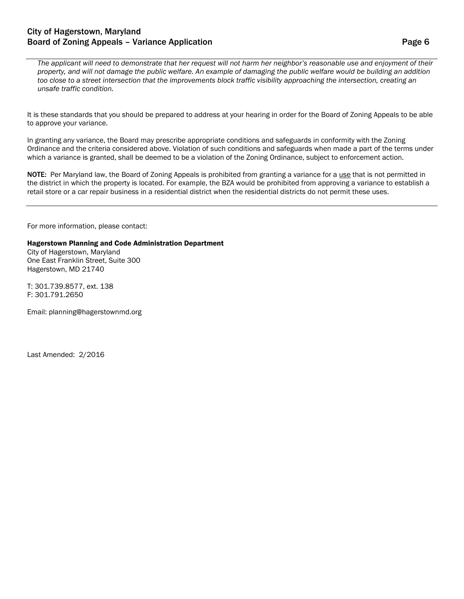# City of Hagerstown, Maryland Board of Zoning Appeals – Variance Application **Page 6** and Page 6

*The applicant will need to demonstrate that her request will not harm her neighbor's reasonable use and enjoyment of their property, and will not damage the public welfare. An example of damaging the public welfare would be building an addition too close to a street intersection that the improvements block traffic visibility approaching the intersection, creating an unsafe traffic condition.*

It is these standards that you should be prepared to address at your hearing in order for the Board of Zoning Appeals to be able to approve your variance.

In granting any variance, the Board may prescribe appropriate conditions and safeguards in conformity with the Zoning Ordinance and the criteria considered above. Violation of such conditions and safeguards when made a part of the terms under which a variance is granted, shall be deemed to be a violation of the Zoning Ordinance, subject to enforcement action.

NOTE: Per Maryland law, the Board of Zoning Appeals is prohibited from granting a variance for a use that is not permitted in the district in which the property is located. For example, the BZA would be prohibited from approving a variance to establish a retail store or a car repair business in a residential district when the residential districts do not permit these uses.

For more information, please contact:

### Hagerstown Planning and Code Administration Department

City of Hagerstown, Maryland One East Franklin Street, Suite 300 Hagerstown, MD 21740

T: 301.739.8577, ext. 138 F: 301.791.2650

Email: planning@hagerstownmd.org

Last Amended: 2/2016